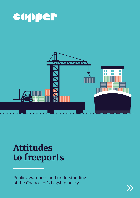



# Attitudes to freeports

Public awareness and understanding of the Chancellor's flagship policy

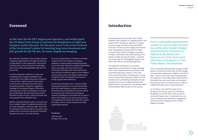### Foreword

But, while the Chancellor's announcement presents a significant opportunity for the eight winning bids to really deliver on their potential for national and local economies, they can only do so by bringing local communities and stakeholders with them on the journey.

Communicating their ambitions in a clear and compelling way to engage stakeholders and communities in the regions they serve is therefore a clear priority. Copper's research shows there is work to do to raise public awareness about the positive benefits of freeports, suggesting a challenge for the selected freeport consortia to paint the picture of their contribution to a thriving post-COVID Britain. But the research also shows that there is space for such a case to be made, with many people in the undecided camp.

Whether they have freeport status or not, ports can have a catalytic impact on regional economies and are major employers in their own right. Add to that the potential to be launch pads for innovative, clean growth and it is not hard to see why the Chancellor has given the sector such public backing.

Of course, that potential is not limited to freeport locations. Ports more widely are looking to capitalise on opportunities presented by policies such as the Super Deduction and planning flexibility which encourages investment. Plus we are continuing the dialogue with Government about how some pro-investment aspects of the freeports tool box can be used more widely. A better public recognition of the multi-faceted role of ports in society supports these efforts too.

So the hard work begins now – not just to deliver the physical infrastructure and commercial deals which will make freeports a reality, but to ensure the British public are behind this and other efforts to put ports at the centre of kick-starting our economy. By telling our story better we can help to write a new chapter on our sector's proud history as the gateways for 95 per cent of the UK's imports and exports and as crucial contributors to wider sustainable prosperity.

**Tim Morris**

*Chief Executive UK Major Ports Group*

**From a nationally representative sample of 2,000 people surveyed two weeks after Sunak's Budget announcement, awareness is highest in the North East – home to one of the most vocal advocates for freeports in Tees Valley Mayor, Ben Houchen.** 

Championed by the Chancellor, Rishi Sunak, freeports have emerged as a flagship policy in the government's 'levelling up' agenda as a means to turbo-charge post-Brexit and post-COVID economic recovery by encouraging international trade. Following the announcement of eight successful bids in March's Budget, we wanted to explore awareness and understanding of the freeport model amongst the public – and what this could mean for the fledgling freeports and others still intent on achieving designation.

The stated aim of freeports is to promote regeneration and innovation through a package of tax relief, simplified customs procedures and streamlined planning. However, some critics have characterised them as 'sleaze ports', raising concerns about their potential as shelters for tax avoidance and cannibalising existing businesses and jobs. We set out to understand where the public stands on this spectrum, and whether views varied between different parts of the country.

### Introduction

**As the voice for the UK's largest port operators, you would expect the UK Major Ports Group to welcome the designation of eight new freeports earlier this year. For the ports sector to be at the forefront of the Government's plans for boosting long term investment and jobs growth for the UK was, of course, hugely encouraging.**

> From a nationally representative sample of 2,000 people surveyed two weeks after Sunak's Budget announcement, awareness is highest in the North East – home to one of the most vocal advocates for freeports in Tees Valley Mayor, Ben Houchen. And while there are mixed views on the impact they will have, there is a desire to see a range of stakeholders play a part in governing them.

As Tim Morris, the Chief Executive of the UK Major Ports Group, says in his foreword, designation is just the start of the journey for successful freeport bids. A continued focus on communications and stakeholder engagement will be vital to the ongoing success of these flagship initiatives.

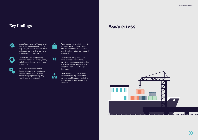## Key findings



Most of those aware of freeports felt they had an understanding of how they work, with more than two thirds saying they 'completely understand' or 'understand to some extent'.



Despite their headline-grabbing announcement in the Budget, nearly half of respondents were not aware of freeports.



Views were mixed on whether freeports would have a positive or negative impact, with just under a quarter of people thinking they would have no impact at all.





There was agreement that freeports will boost UK exports and create jobs, but statements around clean growth and innovation were less well supported.

Despite some recognition of the positive impacts freeports could have, this did not appear to translate to a clear view that they will make a positive difference to the regions they serve.



There was support for a range of stakeholders having a role in the governance of freeports – including port workers, businesses and local residents.

## Awareness



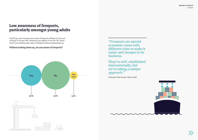## Low awareness of freeports, particularly amongst young adults

Only 36 per cent of people were aware of freeports, falling to 27 per cent amongst 16-24 year-olds. Awareness was highest in the over-55s, where 45 per cent said they were aware of freeports without looking them up.

#### **Without looking them up, are you aware of freeports?**



**"Freeports are special economic zones with different rules to make it easier and cheaper to do business.**

**They're well-established internationally, but we're taking a unique approach."**

Chancellor Rishi Sunak, 3 March 2021



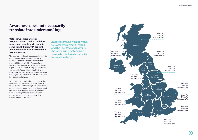

**Of those who were aware of freeports, more than half said they understood how they will work 'to some extent' but only 15 per cent felt they completely understood the freeport concept.**

The only region where those aware of freeports outnumbered those who said they were unaware was the North East – home to two freeport bids, one of which (Teesside) was successful, with awareness in the north overall higher than in the south of England. Awareness was lowest in Wales, followed by Northern Ireland and the East Midlands, despite the latter bringing forward a successful bid based around its international airport.

Where awareness was highest (including in the North East), the percentage of those aware of freeports who said they completely understood or understood to some extent how they will work was lower. This suggests that while freeports have been well publicised in some regions, this has not necessarily resulted in a clear understanding of the model.

### Awareness does not necessarily translate into understanding

**Awareness was lowest in Wales, followed by Northern Ireland and the East Midlands, despite the latter bringing forward a successful bid based around its international airport.**

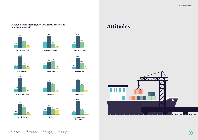### **Without looking them up, how well do you understand how freeports work?**





**South East**



**North West**



**Northern Ireland**



**East Midlands**



**Understand** to some extent

**West Midlands**



I do not know anything



**East of England**





**Scotland**



**North East**



**Greater London**



Completely understand



on everything

# Attitudes

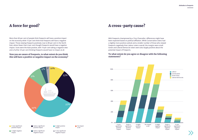

### A force for good?

More than 60 per cent of people think freeports will have a positive impact on the economy while 15 per cent think that freeports will have a negative impact. Those viewing freeports positively rose to 80 per cent in the North East, where fewer than 4 per cent thought freeports would have a negative impact. Scots were the least positive, with 19 per cent taking a negative view and a further 25 per cent thinking freeports would have no impact at all.



#### **Now you are aware of freeports, to what extent do you think this will have a positive or negative impact on the economy?**

### A cross-party cause?

With freeports championed by a Tory Chancellor, differences might have been expected based on political affiliation. While Conservative voters had a slightly more positive outlook and a smaller number of those who viewed freeports negatively than Labour voters overall, the margins were small. Green and Liberal Democrat voters were also largely positive about the potential impact of freeports.

#### **To what extent do you agree or disagree with the following statements?**

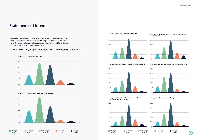### Statements of intent

We asked all respondents to what extent they agreed or disagreed with the following statements. The results show the range of expectations the public has for freeports and suggests the sector could do more to highlights its role as a catalyst for innovation and clean growth.

> Strongly disagree

#### **To what extent do you agree or disagree with the following statements?**

**Somewhat** disagree



**> Freeports will create jobs for local people**



**> Freeports will create tax havens for the rich**









**> Freeports will be places that allow low standards for the environment and jobs**

#### **> Freeports will make a positive difference to the region in which I live**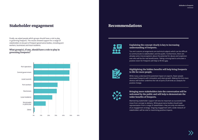### Stakeholder engagement Recommendations

Finally, we asked people which groups should have a role to play in governing freeports. The results showed support for a range of stakeholders to be part of freeport governance bodies, including port workers, businesses and local residents.

#### **What group(s), if any, should have a role to play in governing freeports?**





### **Explaining the concept clearly is key to increasing understanding of freeports.**

Tax and customs arrangements are technical subjects which can be difficult to communicate to stakeholders and the public. Furthermore, there are already some misconceptions about the potential for abuse and scepticism over who will be the real beneficiaries. Taking a strong lead to articulate a positive vision for freeports will help to fill this gap.



#### **Highlighting the hidden benefits will help bring freeports to life for more people.**

While many understand the potential impact on exports, fewer people associated freeports with innovation and clean growth. Making this link more obvious will further underline the role of ports of all kinds as catalysts for positive change.

#### **Bringing more stakeholders into the conversation will be welcomed by the public and will help to demonstrate the wider benefits of freeports.**

Maintaining stakeholder support will also be important as successful bids move from concept to delivery. While governance bodies should seek representation from a range of stakeholders, they are only one element of an engagement strategy. Ongoing engagement with a wide network of stakeholders will be vital to maximising positive impacts.